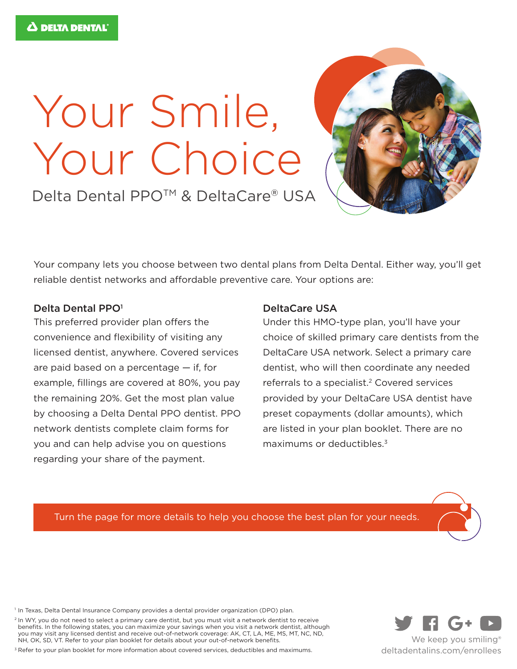## Your Smile, Your Choice



Delta Dental PPO<sup>™</sup> & DeltaCare® USA

Your company lets you choose between two dental plans from Delta Dental. Either way, you'll get reliable dentist networks and affordable preventive care. Your options are:

## Delta Dental PPO<sup>1</sup>

This preferred provider plan offers the convenience and flexibility of visiting any licensed dentist, anywhere. Covered services are paid based on a percentage — if, for example, fillings are covered at 80%, you pay the remaining 20%. Get the most plan value by choosing a Delta Dental PPO dentist. PPO network dentists complete claim forms for you and can help advise you on questions regarding your share of the payment.

## DeltaCare USA

Under this HMO-type plan, you'll have your choice of skilled primary care dentists from the DeltaCare USA network. Select a primary care dentist, who will then coordinate any needed referrals to a specialist.<sup>2</sup> Covered services provided by your DeltaCare USA dentist have preset copayments (dollar amounts), which are listed in your plan booklet. There are no maximums or deductibles.<sup>3</sup>

Turn the page for more details to help you choose the best plan for your needs.

<sup>1</sup> In Texas, Delta Dental Insurance Company provides a dental provider organization (DPO) plan.

<sup>2</sup> In WY, you do not need to select a primary care dentist, but you must visit a network dentist to receive benefits. In the following states, you can maximize your savings when you visit a network dentist, although you may visit any licensed dentist and receive out-of-network coverage: AK, CT, LA, ME, MS, MT, NC, ND, NH, OK, SD, VT. Refer to your plan booklet for details about your out-of-network benefits.